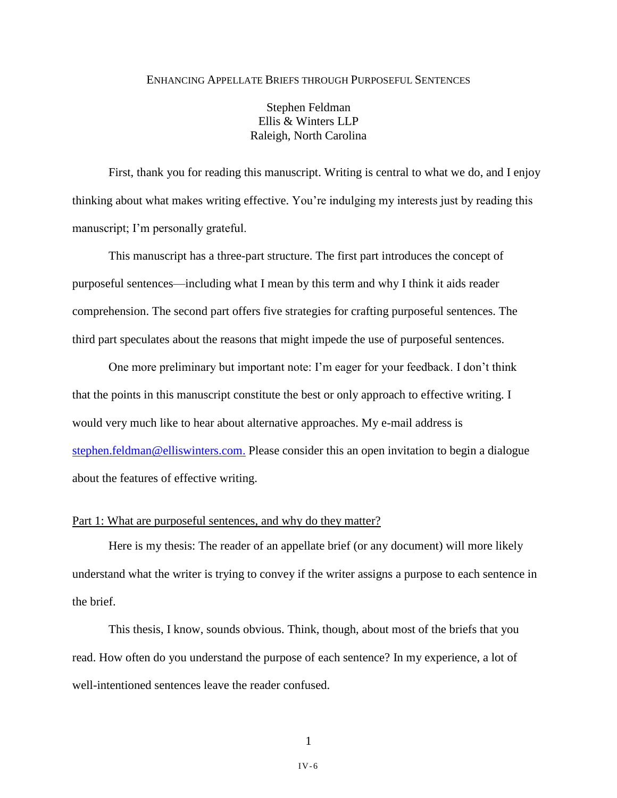#### ENHANCING APPELLATE BRIEFS THROUGH PURPOSEFUL SENTENCES

Stephen Feldman Ellis & Winters LLP Raleigh, North Carolina

First, thank you for reading this manuscript. Writing is central to what we do, and I enjoy thinking about what makes writing effective. You're indulging my interests just by reading this manuscript; I'm personally grateful.

This manuscript has a three-part structure. The first part introduces the concept of purposeful sentences—including what I mean by this term and why I think it aids reader comprehension. The second part offers five strategies for crafting purposeful sentences. The third part speculates about the reasons that might impede the use of purposeful sentences.

One more preliminary but important note: I'm eager for your feedback. I don't think that the points in this manuscript constitute the best or only approach to effective writing. I would very much like to hear about alternative approaches. My e-mail address is [stephen.feldman@elliswinters.com.](mailto:stephen.feldman@elliswinters.com) Please consider this an open invitation to begin a dialogue about the features of effective writing.

## Part 1: What are purposeful sentences, and why do they matter?

Here is my thesis: The reader of an appellate brief (or any document) will more likely understand what the writer is trying to convey if the writer assigns a purpose to each sentence in the brief.

This thesis, I know, sounds obvious. Think, though, about most of the briefs that you read. How often do you understand the purpose of each sentence? In my experience, a lot of well-intentioned sentences leave the reader confused.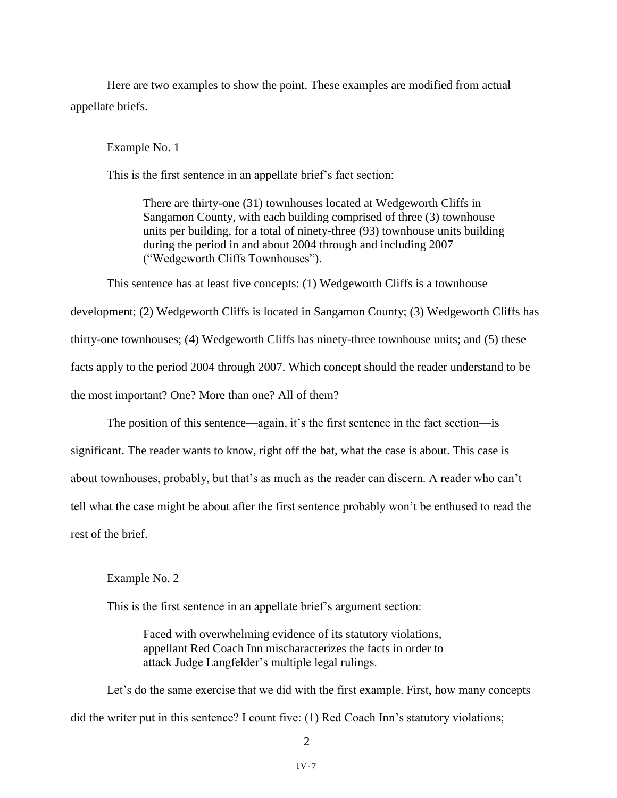Here are two examples to show the point. These examples are modified from actual appellate briefs.

#### Example No. 1

This is the first sentence in an appellate brief's fact section:

There are thirty-one (31) townhouses located at Wedgeworth Cliffs in Sangamon County, with each building comprised of three (3) townhouse units per building, for a total of ninety-three (93) townhouse units building during the period in and about 2004 through and including 2007 ("Wedgeworth Cliffs Townhouses").

This sentence has at least five concepts: (1) Wedgeworth Cliffs is a townhouse

development; (2) Wedgeworth Cliffs is located in Sangamon County; (3) Wedgeworth Cliffs has thirty-one townhouses; (4) Wedgeworth Cliffs has ninety-three townhouse units; and (5) these facts apply to the period 2004 through 2007. Which concept should the reader understand to be the most important? One? More than one? All of them?

The position of this sentence—again, it's the first sentence in the fact section—is significant. The reader wants to know, right off the bat, what the case is about. This case is about townhouses, probably, but that's as much as the reader can discern. A reader who can't tell what the case might be about after the first sentence probably won't be enthused to read the rest of the brief.

## Example No. 2

This is the first sentence in an appellate brief's argument section:

Faced with overwhelming evidence of its statutory violations, appellant Red Coach Inn mischaracterizes the facts in order to attack Judge Langfelder's multiple legal rulings.

Let's do the same exercise that we did with the first example. First, how many concepts did the writer put in this sentence? I count five: (1) Red Coach Inn's statutory violations;

2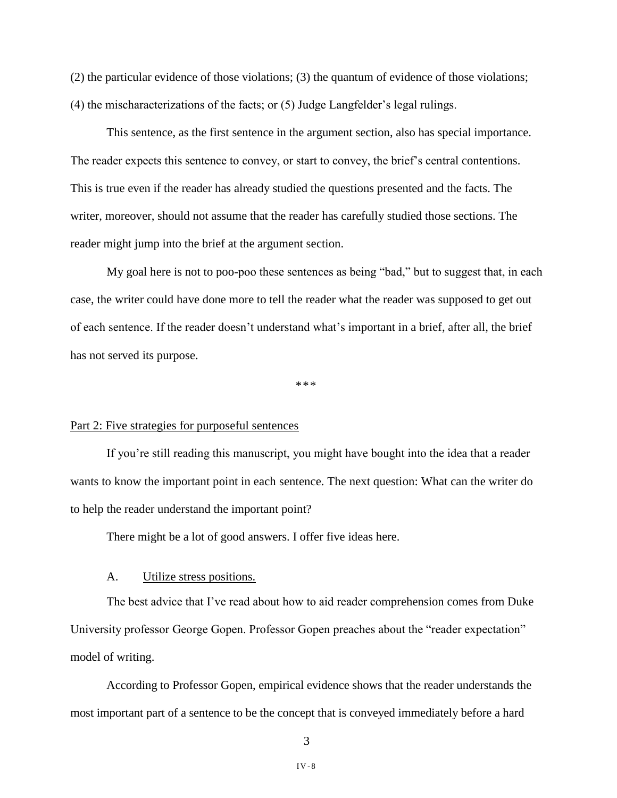(2) the particular evidence of those violations; (3) the quantum of evidence of those violations; (4) the mischaracterizations of the facts; or (5) Judge Langfelder's legal rulings.

This sentence, as the first sentence in the argument section, also has special importance. The reader expects this sentence to convey, or start to convey, the brief's central contentions. This is true even if the reader has already studied the questions presented and the facts. The writer, moreover, should not assume that the reader has carefully studied those sections. The reader might jump into the brief at the argument section.

My goal here is not to poo-poo these sentences as being "bad," but to suggest that, in each case, the writer could have done more to tell the reader what the reader was supposed to get out of each sentence. If the reader doesn't understand what's important in a brief, after all, the brief has not served its purpose.

\*\*\*

## Part 2: Five strategies for purposeful sentences

If you're still reading this manuscript, you might have bought into the idea that a reader wants to know the important point in each sentence. The next question: What can the writer do to help the reader understand the important point?

There might be a lot of good answers. I offer five ideas here.

## A. Utilize stress positions.

The best advice that I've read about how to aid reader comprehension comes from Duke University professor George Gopen. Professor Gopen preaches about the "reader expectation" model of writing.

According to Professor Gopen, empirical evidence shows that the reader understands the most important part of a sentence to be the concept that is conveyed immediately before a hard

3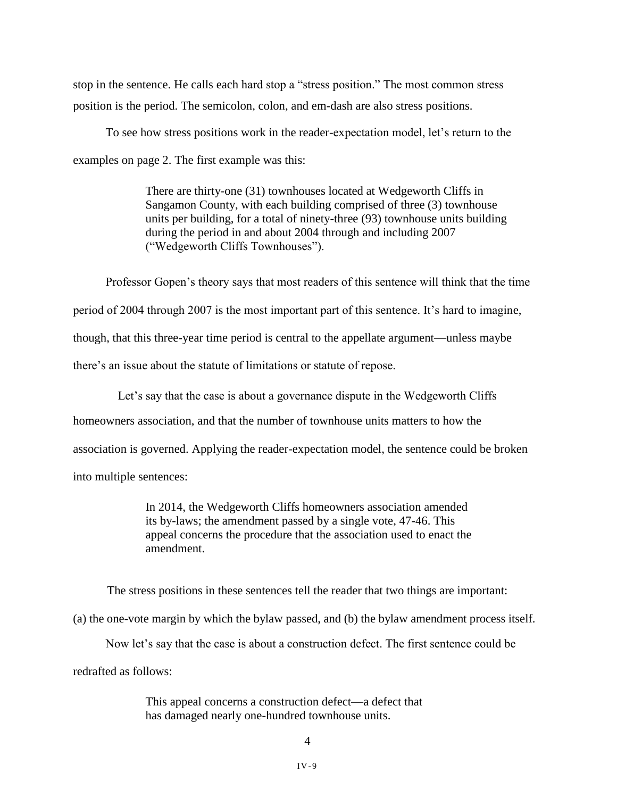stop in the sentence. He calls each hard stop a "stress position." The most common stress position is the period. The semicolon, colon, and em-dash are also stress positions.

To see how stress positions work in the reader-expectation model, let's return to the examples on page 2. The first example was this:

> There are thirty-one (31) townhouses located at Wedgeworth Cliffs in Sangamon County, with each building comprised of three (3) townhouse units per building, for a total of ninety-three (93) townhouse units building during the period in and about 2004 through and including 2007 ("Wedgeworth Cliffs Townhouses").

Professor Gopen's theory says that most readers of this sentence will think that the time period of 2004 through 2007 is the most important part of this sentence. It's hard to imagine, though, that this three-year time period is central to the appellate argument—unless maybe there's an issue about the statute of limitations or statute of repose.

Let's say that the case is about a governance dispute in the Wedgeworth Cliffs homeowners association, and that the number of townhouse units matters to how the association is governed. Applying the reader-expectation model, the sentence could be broken into multiple sentences:

> In 2014, the Wedgeworth Cliffs homeowners association amended its by-laws; the amendment passed by a single vote, 47-46. This appeal concerns the procedure that the association used to enact the amendment.

The stress positions in these sentences tell the reader that two things are important:

(a) the one-vote margin by which the bylaw passed, and (b) the bylaw amendment process itself.

Now let's say that the case is about a construction defect. The first sentence could be

redrafted as follows:

This appeal concerns a construction defect—a defect that has damaged nearly one-hundred townhouse units.

4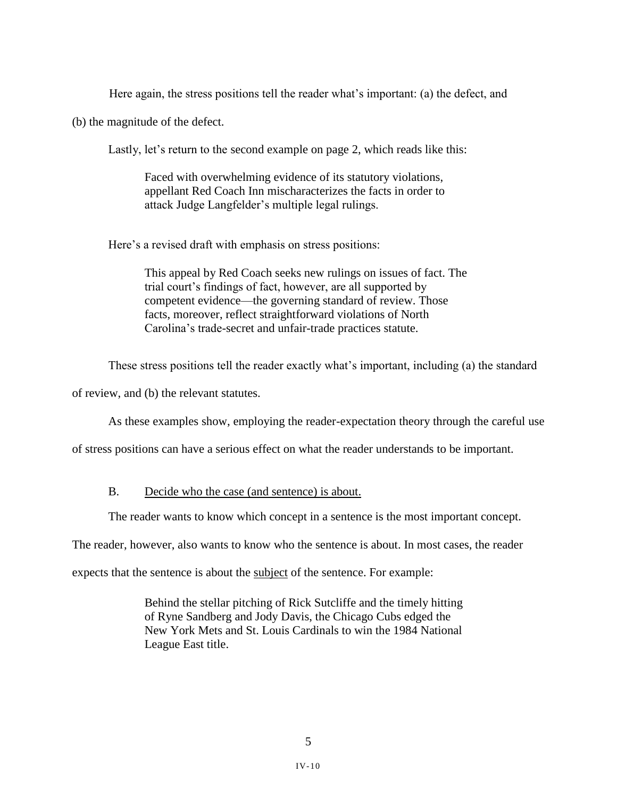Here again, the stress positions tell the reader what's important: (a) the defect, and

(b) the magnitude of the defect.

Lastly, let's return to the second example on page 2, which reads like this:

Faced with overwhelming evidence of its statutory violations, appellant Red Coach Inn mischaracterizes the facts in order to attack Judge Langfelder's multiple legal rulings.

Here's a revised draft with emphasis on stress positions:

This appeal by Red Coach seeks new rulings on issues of fact. The trial court's findings of fact, however, are all supported by competent evidence—the governing standard of review. Those facts, moreover, reflect straightforward violations of North Carolina's trade-secret and unfair-trade practices statute.

These stress positions tell the reader exactly what's important, including (a) the standard

of review, and (b) the relevant statutes.

As these examples show, employing the reader-expectation theory through the careful use

of stress positions can have a serious effect on what the reader understands to be important.

## B. Decide who the case (and sentence) is about.

The reader wants to know which concept in a sentence is the most important concept.

The reader, however, also wants to know who the sentence is about. In most cases, the reader

expects that the sentence is about the subject of the sentence. For example:

Behind the stellar pitching of Rick Sutcliffe and the timely hitting of Ryne Sandberg and Jody Davis, the Chicago Cubs edged the New York Mets and St. Louis Cardinals to win the 1984 National League East title.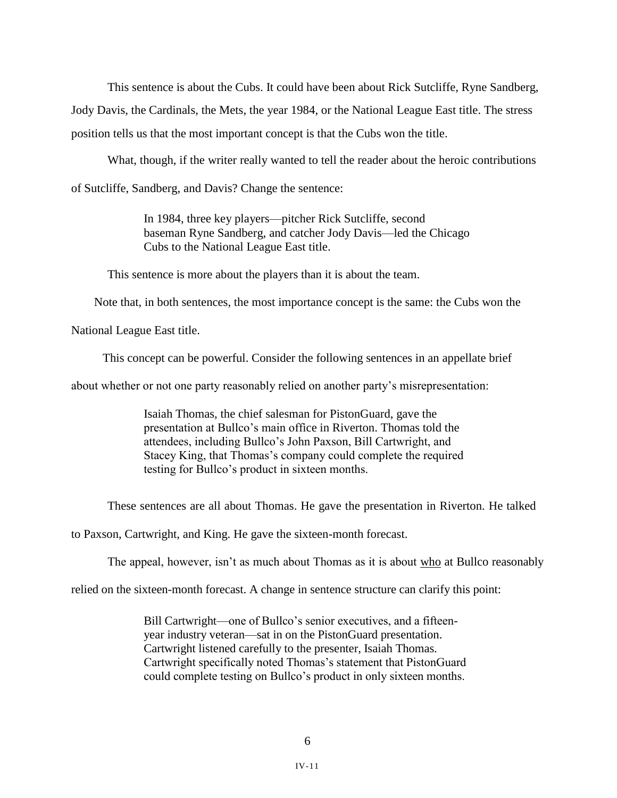This sentence is about the Cubs. It could have been about Rick Sutcliffe, Ryne Sandberg,

Jody Davis, the Cardinals, the Mets, the year 1984, or the National League East title. The stress position tells us that the most important concept is that the Cubs won the title.

What, though, if the writer really wanted to tell the reader about the heroic contributions of Sutcliffe, Sandberg, and Davis? Change the sentence:

> In 1984, three key players—pitcher Rick Sutcliffe, second baseman Ryne Sandberg, and catcher Jody Davis—led the Chicago Cubs to the National League East title.

This sentence is more about the players than it is about the team.

Note that, in both sentences, the most importance concept is the same: the Cubs won the

National League East title.

This concept can be powerful. Consider the following sentences in an appellate brief

about whether or not one party reasonably relied on another party's misrepresentation:

Isaiah Thomas, the chief salesman for PistonGuard, gave the presentation at Bullco's main office in Riverton. Thomas told the attendees, including Bullco's John Paxson, Bill Cartwright, and Stacey King, that Thomas's company could complete the required testing for Bullco's product in sixteen months.

These sentences are all about Thomas. He gave the presentation in Riverton. He talked

to Paxson, Cartwright, and King. He gave the sixteen-month forecast.

The appeal, however, isn't as much about Thomas as it is about who at Bullco reasonably

relied on the sixteen-month forecast. A change in sentence structure can clarify this point:

Bill Cartwright—one of Bullco's senior executives, and a fifteenyear industry veteran—sat in on the PistonGuard presentation. Cartwright listened carefully to the presenter, Isaiah Thomas. Cartwright specifically noted Thomas's statement that PistonGuard could complete testing on Bullco's product in only sixteen months.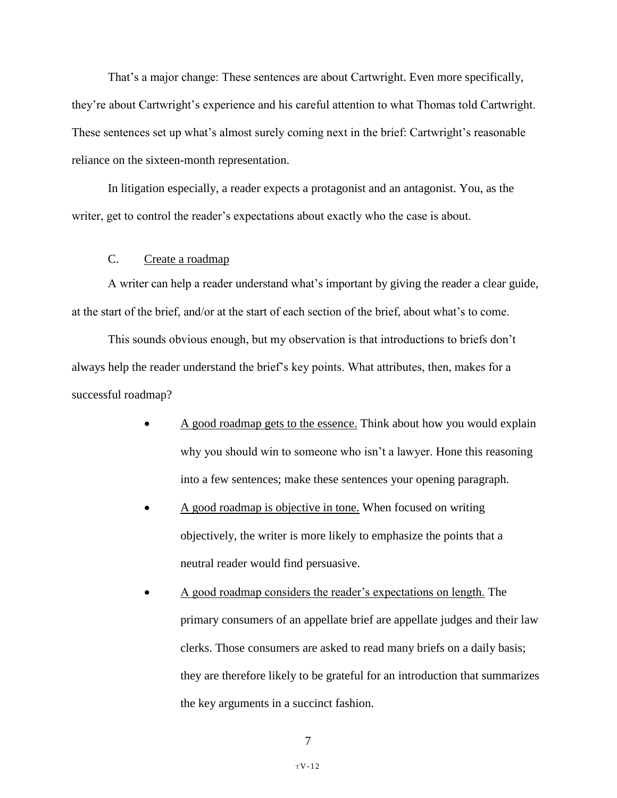That's a major change: These sentences are about Cartwright. Even more specifically, they're about Cartwright's experience and his careful attention to what Thomas told Cartwright. These sentences set up what's almost surely coming next in the brief: Cartwright's reasonable reliance on the sixteen-month representation.

In litigation especially, a reader expects a protagonist and an antagonist. You, as the writer, get to control the reader's expectations about exactly who the case is about.

## C. Create a roadmap

A writer can help a reader understand what's important by giving the reader a clear guide, at the start of the brief, and/or at the start of each section of the brief, about what's to come.

This sounds obvious enough, but my observation is that introductions to briefs don't always help the reader understand the brief's key points. What attributes, then, makes for a successful roadmap?

- A good roadmap gets to the essence. Think about how you would explain why you should win to someone who isn't a lawyer. Hone this reasoning into a few sentences; make these sentences your opening paragraph.
- A good roadmap is objective in tone. When focused on writing objectively, the writer is more likely to emphasize the points that a neutral reader would find persuasive.
- A good roadmap considers the reader's expectations on length. The primary consumers of an appellate brief are appellate judges and their law clerks. Those consumers are asked to read many briefs on a daily basis; they are therefore likely to be grateful for an introduction that summarizes the key arguments in a succinct fashion.

7

TV-12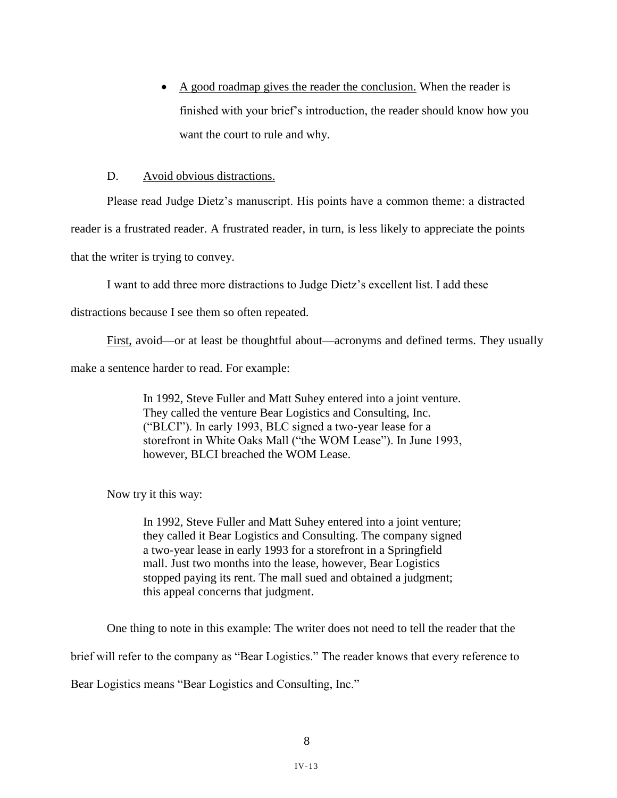• A good roadmap gives the reader the conclusion. When the reader is finished with your brief's introduction, the reader should know how you want the court to rule and why.

## D. Avoid obvious distractions.

Please read Judge Dietz's manuscript. His points have a common theme: a distracted

reader is a frustrated reader. A frustrated reader, in turn, is less likely to appreciate the points

that the writer is trying to convey.

I want to add three more distractions to Judge Dietz's excellent list. I add these

distractions because I see them so often repeated.

First, avoid—or at least be thoughtful about—acronyms and defined terms. They usually

make a sentence harder to read. For example:

In 1992, Steve Fuller and Matt Suhey entered into a joint venture. They called the venture Bear Logistics and Consulting, Inc. ("BLCI"). In early 1993, BLC signed a two-year lease for a storefront in White Oaks Mall ("the WOM Lease"). In June 1993, however, BLCI breached the WOM Lease.

Now try it this way:

In 1992, Steve Fuller and Matt Suhey entered into a joint venture; they called it Bear Logistics and Consulting. The company signed a two-year lease in early 1993 for a storefront in a Springfield mall. Just two months into the lease, however, Bear Logistics stopped paying its rent. The mall sued and obtained a judgment; this appeal concerns that judgment.

One thing to note in this example: The writer does not need to tell the reader that the

brief will refer to the company as "Bear Logistics." The reader knows that every reference to

Bear Logistics means "Bear Logistics and Consulting, Inc."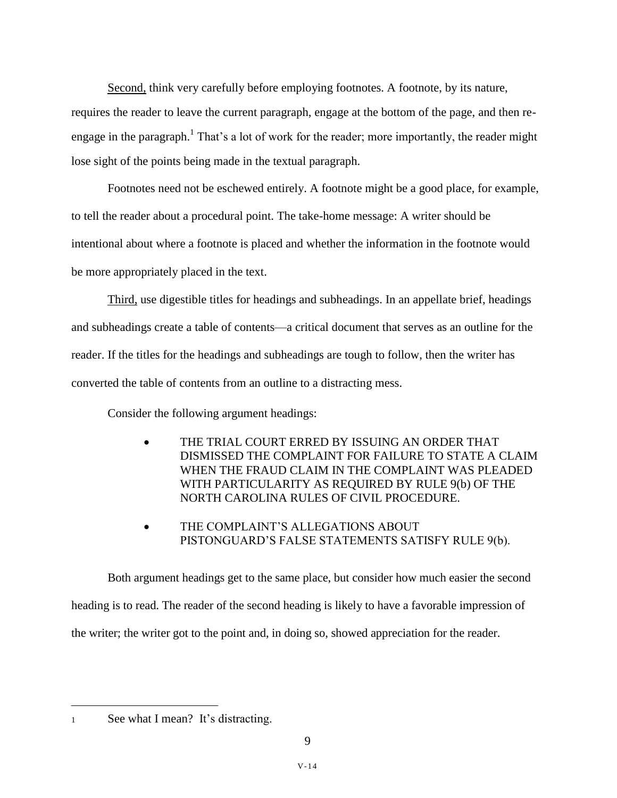Second, think very carefully before employing footnotes. A footnote, by its nature,

requires the reader to leave the current paragraph, engage at the bottom of the page, and then reengage in the paragraph.<sup>1</sup> That's a lot of work for the reader; more importantly, the reader might lose sight of the points being made in the textual paragraph.

Footnotes need not be eschewed entirely. A footnote might be a good place, for example, to tell the reader about a procedural point. The take-home message: A writer should be intentional about where a footnote is placed and whether the information in the footnote would be more appropriately placed in the text.

Third, use digestible titles for headings and subheadings. In an appellate brief, headings and subheadings create a table of contents—a critical document that serves as an outline for the reader. If the titles for the headings and subheadings are tough to follow, then the writer has converted the table of contents from an outline to a distracting mess.

Consider the following argument headings:

- THE TRIAL COURT ERRED BY ISSUING AN ORDER THAT DISMISSED THE COMPLAINT FOR FAILURE TO STATE A CLAIM WHEN THE FRAUD CLAIM IN THE COMPLAINT WAS PLEADED WITH PARTICULARITY AS REQUIRED BY RULE 9(b) OF THE NORTH CAROLINA RULES OF CIVIL PROCEDURE.
- THE COMPLAINT'S ALLEGATIONS ABOUT PISTONGUARD'S FALSE STATEMENTS SATISFY RULE 9(b).

Both argument headings get to the same place, but consider how much easier the second heading is to read. The reader of the second heading is likely to have a favorable impression of the writer; the writer got to the point and, in doing so, showed appreciation for the reader.

<sup>1</sup> See what I mean? It's distracting.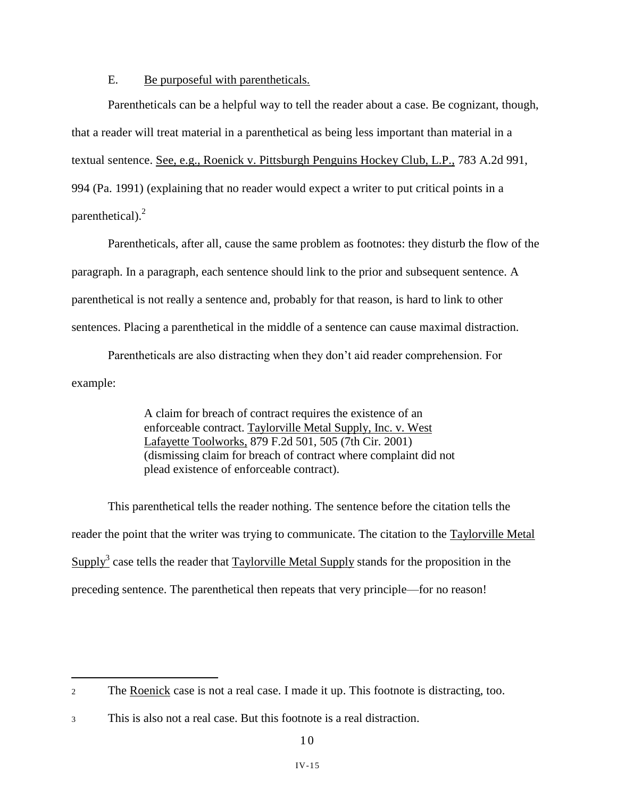# E. Be purposeful with parentheticals.

Parentheticals can be a helpful way to tell the reader about a case. Be cognizant, though, that a reader will treat material in a parenthetical as being less important than material in a textual sentence. See, e.g., Roenick v. Pittsburgh Penguins Hockey Club, L.P., 783 A.2d 991, 994 (Pa. 1991) (explaining that no reader would expect a writer to put critical points in a parenthetical). $^{2}$ 

Parentheticals, after all, cause the same problem as footnotes: they disturb the flow of the paragraph. In a paragraph, each sentence should link to the prior and subsequent sentence. A parenthetical is not really a sentence and, probably for that reason, is hard to link to other sentences. Placing a parenthetical in the middle of a sentence can cause maximal distraction.

Parentheticals are also distracting when they don't aid reader comprehension. For example:

> A claim for breach of contract requires the existence of an enforceable contract. Taylorville Metal Supply, Inc. v. West Lafayette Toolworks, 879 F.2d 501, 505 (7th Cir. 2001) (dismissing claim for breach of contract where complaint did not plead existence of enforceable contract).

This parenthetical tells the reader nothing. The sentence before the citation tells the reader the point that the writer was trying to communicate. The citation to the Taylorville Metal Supply<sup>3</sup> case tells the reader that  $Taylorville$  Metal Supply stands for the proposition in the preceding sentence. The parenthetical then repeats that very principle—for no reason!

<sup>2</sup> The Roenick case is not a real case. I made it up. This footnote is distracting, too.

<sup>3</sup> This is also not a real case. But this footnote is a real distraction.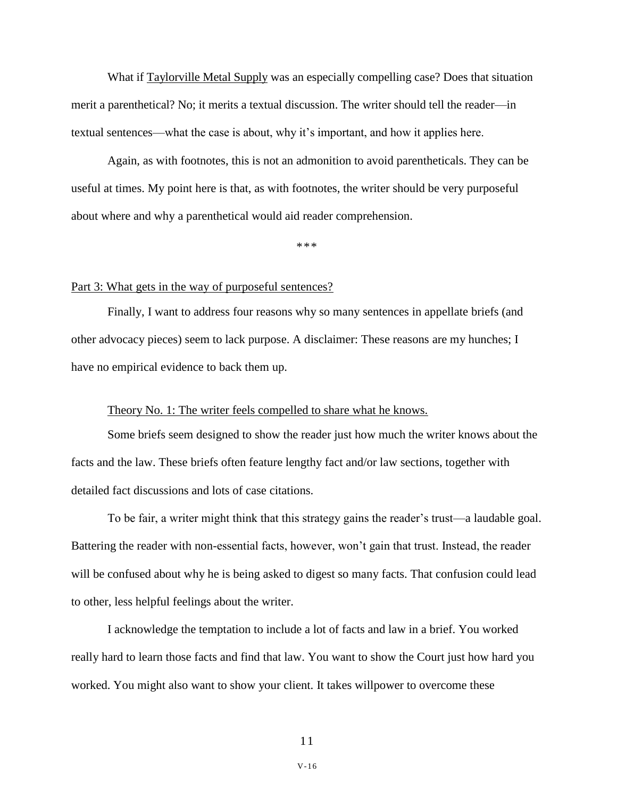What if Taylorville Metal Supply was an especially compelling case? Does that situation merit a parenthetical? No; it merits a textual discussion. The writer should tell the reader—in textual sentences—what the case is about, why it's important, and how it applies here.

Again, as with footnotes, this is not an admonition to avoid parentheticals. They can be useful at times. My point here is that, as with footnotes, the writer should be very purposeful about where and why a parenthetical would aid reader comprehension.

\*\*\*

#### Part 3: What gets in the way of purposeful sentences?

Finally, I want to address four reasons why so many sentences in appellate briefs (and other advocacy pieces) seem to lack purpose. A disclaimer: These reasons are my hunches; I have no empirical evidence to back them up.

## Theory No. 1: The writer feels compelled to share what he knows.

Some briefs seem designed to show the reader just how much the writer knows about the facts and the law. These briefs often feature lengthy fact and/or law sections, together with detailed fact discussions and lots of case citations.

To be fair, a writer might think that this strategy gains the reader's trust—a laudable goal. Battering the reader with non-essential facts, however, won't gain that trust. Instead, the reader will be confused about why he is being asked to digest so many facts. That confusion could lead to other, less helpful feelings about the writer.

I acknowledge the temptation to include a lot of facts and law in a brief. You worked really hard to learn those facts and find that law. You want to show the Court just how hard you worked. You might also want to show your client. It takes willpower to overcome these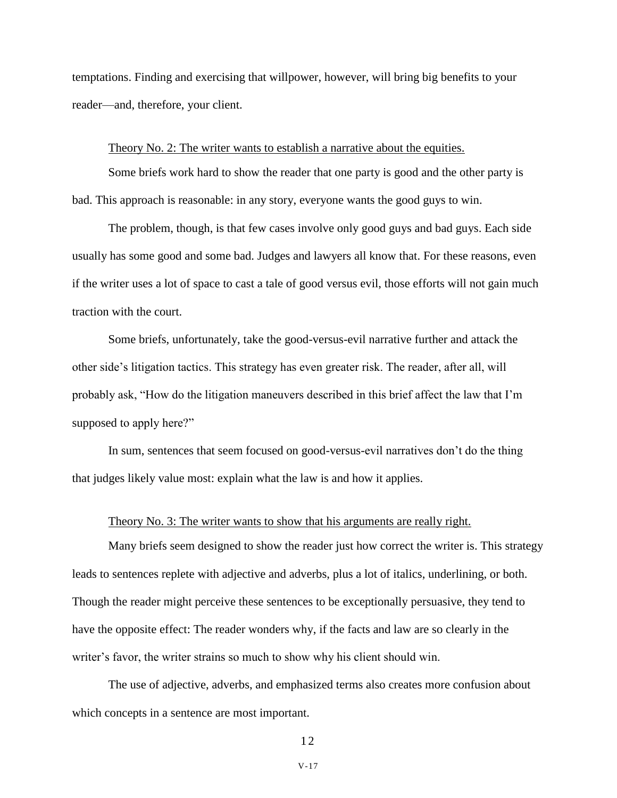temptations. Finding and exercising that willpower, however, will bring big benefits to your reader—and, therefore, your client.

## Theory No. 2: The writer wants to establish a narrative about the equities.

Some briefs work hard to show the reader that one party is good and the other party is bad. This approach is reasonable: in any story, everyone wants the good guys to win.

The problem, though, is that few cases involve only good guys and bad guys. Each side usually has some good and some bad. Judges and lawyers all know that. For these reasons, even if the writer uses a lot of space to cast a tale of good versus evil, those efforts will not gain much traction with the court.

Some briefs, unfortunately, take the good-versus-evil narrative further and attack the other side's litigation tactics. This strategy has even greater risk. The reader, after all, will probably ask, "How do the litigation maneuvers described in this brief affect the law that I'm supposed to apply here?"

In sum, sentences that seem focused on good-versus-evil narratives don't do the thing that judges likely value most: explain what the law is and how it applies.

## Theory No. 3: The writer wants to show that his arguments are really right.

Many briefs seem designed to show the reader just how correct the writer is. This strategy leads to sentences replete with adjective and adverbs, plus a lot of italics, underlining, or both. Though the reader might perceive these sentences to be exceptionally persuasive, they tend to have the opposite effect: The reader wonders why, if the facts and law are so clearly in the writer's favor, the writer strains so much to show why his client should win.

The use of adjective, adverbs, and emphasized terms also creates more confusion about which concepts in a sentence are most important.

1 2

V-17